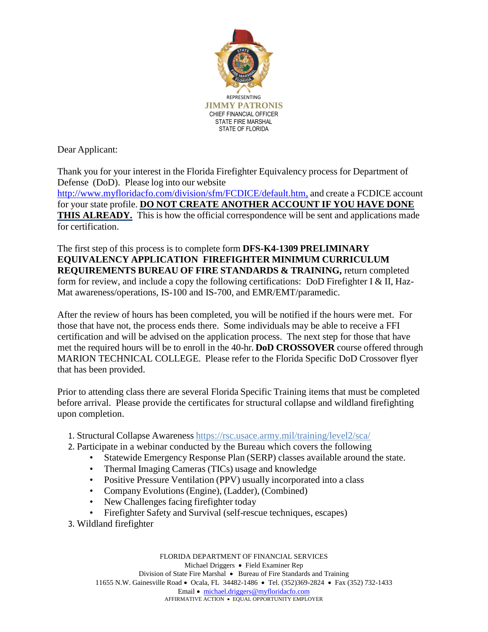

Dear Applicant:

Thank you for your interest in the Florida Firefighter Equivalency process for Department of Defense (DoD). Please log into our website <http://www.myfloridacfo.com/division/sfm/FCDICE/default.htm,> and create a FCDICE account for your state profile. **DO NOT CREATE ANOTHER ACCOUNT IF YOU HAVE DONE THIS ALREADY.** This is how the official correspondence will be sent and applications made for certification.

The first step of this process is to complete form **DFS-K4-1309 PRELIMINARY EQUIVALENCY APPLICATION FIREFIGHTER MINIMUM CURRICULUM REQUIREMENTS BUREAU OF FIRE STANDARDS & TRAINING,** return completed form for review, and include a copy the following certifications: DoD Firefighter I & II, Haz-Mat awareness/operations, IS-100 and IS-700, and EMR/EMT/paramedic.

After the review of hours has been completed, you will be notified if the hours were met. For those that have not, the process ends there. Some individuals may be able to receive a FFI certification and will be advised on the application process. The next step for those that have met the required hours will be to enroll in the 40-hr. **DoD CROSSOVER** course offered through MARION TECHNICAL COLLEGE. Please refer to the Florida Specific DoD Crossover flyer that has been provided.

Prior to attending class there are several Florida Specific Training items that must be completed before arrival. Please provide the certificates for structural collapse and wildland firefighting upon completion.

- 1. Structural Collapse Awareness <https://rsc.usace.army.mil/training/level2/sca/>
- 2. Participate in a webinar conducted by the Bureau which covers the following
	- Statewide Emergency Response Plan (SERP) classes available around the state.
	- Thermal Imaging Cameras (TICs) usage and knowledge
	- Positive Pressure Ventilation (PPV) usually incorporated into a class
	- Company Evolutions (Engine), (Ladder), (Combined)
	- New Challenges facing firefighter today
	- Firefighter Safety and Survival (self-rescue techniques, escapes)
- 3. Wildland firefighter